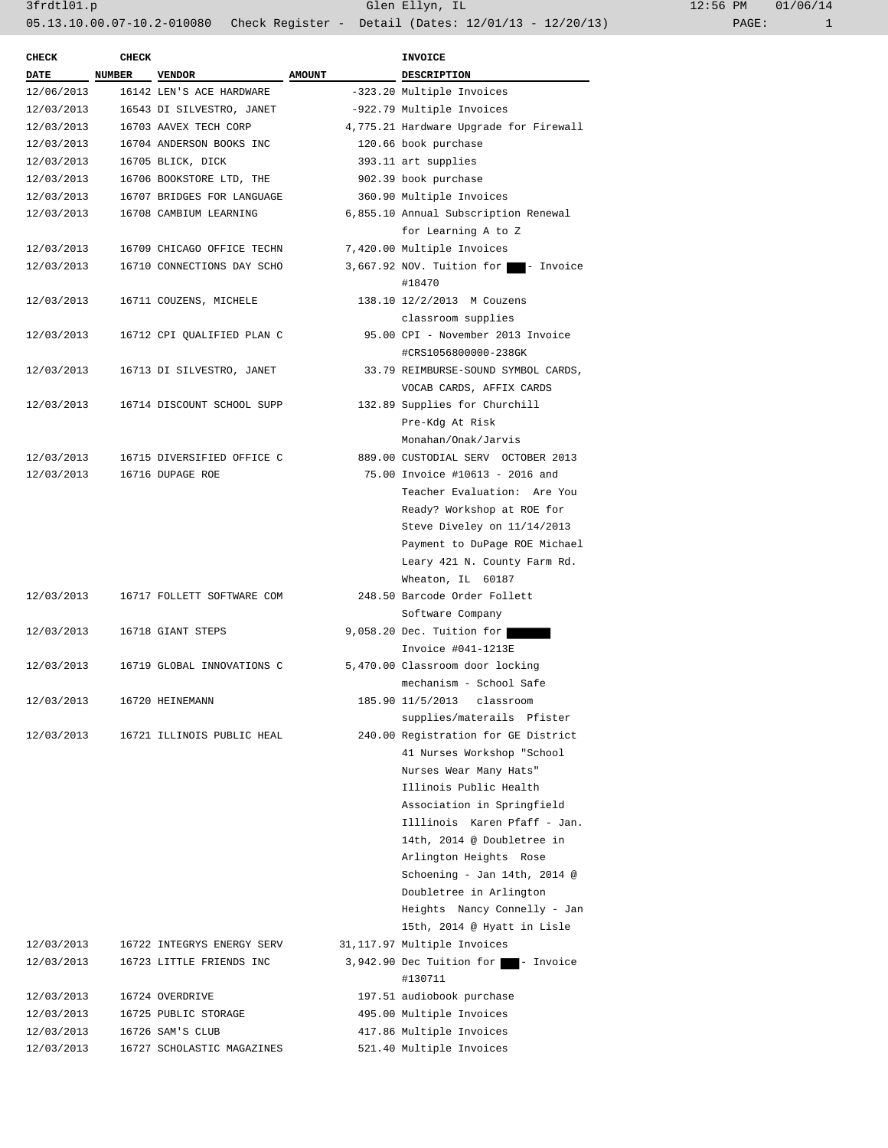| CHECK       | <b>CHECK</b> |                            |               | <b>INVOICE</b>                              |
|-------------|--------------|----------------------------|---------------|---------------------------------------------|
| DATE NUMBER |              | <b>VENDOR</b>              | <b>AMOUNT</b> | DESCRIPTION                                 |
| 12/06/2013  |              | 16142 LEN'S ACE HARDWARE   |               | -323.20 Multiple Invoices                   |
| 12/03/2013  |              | 16543 DI SILVESTRO, JANET  |               | -922.79 Multiple Invoices                   |
| 12/03/2013  |              | 16703 AAVEX TECH CORP      |               | 4,775.21 Hardware Upgrade for Firewall      |
| 12/03/2013  |              | 16704 ANDERSON BOOKS INC   |               | 120.66 book purchase                        |
| 12/03/2013  |              | 16705 BLICK, DICK          |               | 393.11 art supplies                         |
| 12/03/2013  |              | 16706 BOOKSTORE LTD, THE   |               | 902.39 book purchase                        |
| 12/03/2013  |              | 16707 BRIDGES FOR LANGUAGE |               | 360.90 Multiple Invoices                    |
| 12/03/2013  |              | 16708 CAMBIUM LEARNING     |               | 6,855.10 Annual Subscription Renewal        |
|             |              |                            |               |                                             |
|             |              |                            |               | for Learning A to Z                         |
| 12/03/2013  |              | 16709 CHICAGO OFFICE TECHN |               | 7,420.00 Multiple Invoices                  |
| 12/03/2013  |              | 16710 CONNECTIONS DAY SCHO |               | 3,667.92 NOV. Tuition for<br>- Invoice      |
|             |              |                            |               | #18470                                      |
| 12/03/2013  |              | 16711 COUZENS, MICHELE     |               | 138.10 12/2/2013 M Couzens                  |
|             |              |                            |               | classroom supplies                          |
| 12/03/2013  |              | 16712 CPI QUALIFIED PLAN C |               | 95.00 CPI - November 2013 Invoice           |
|             |              |                            |               | #CRS1056800000-238GK                        |
| 12/03/2013  |              | 16713 DI SILVESTRO, JANET  |               | 33.79 REIMBURSE-SOUND SYMBOL CARDS,         |
|             |              |                            |               | VOCAB CARDS, AFFIX CARDS                    |
| 12/03/2013  |              | 16714 DISCOUNT SCHOOL SUPP |               | 132.89 Supplies for Churchill               |
|             |              |                            |               | Pre-Kdg At Risk                             |
|             |              |                            |               | Monahan/Onak/Jarvis                         |
| 12/03/2013  |              | 16715 DIVERSIFIED OFFICE C |               | 889.00 CUSTODIAL SERV OCTOBER 2013          |
| 12/03/2013  |              | 16716 DUPAGE ROE           |               | 75.00 Invoice #10613 - 2016 and             |
|             |              |                            |               | Teacher Evaluation: Are You                 |
|             |              |                            |               | Ready? Workshop at ROE for                  |
|             |              |                            |               | Steve Diveley on 11/14/2013                 |
|             |              |                            |               | Payment to DuPage ROE Michael               |
|             |              |                            |               | Leary 421 N. County Farm Rd.                |
|             |              |                            |               | Wheaton, IL 60187                           |
| 12/03/2013  |              | 16717 FOLLETT SOFTWARE COM |               | 248.50 Barcode Order Follett                |
|             |              |                            |               | Software Company                            |
|             |              |                            |               |                                             |
| 12/03/2013  |              | 16718 GIANT STEPS          |               | 9,058.20 Dec. Tuition for                   |
|             |              |                            |               | Invoice #041-1213E                          |
| 12/03/2013  |              | 16719 GLOBAL INNOVATIONS C |               | 5,470.00 Classroom door locking             |
|             |              |                            |               | mechanism - School Safe                     |
| 12/03/2013  |              | 16720 HEINEMANN            |               | 185.90 11/5/2013 classroom                  |
|             |              |                            |               | supplies/materails Pfister                  |
| 12/03/2013  |              | 16721 ILLINOIS PUBLIC HEAL |               | 240.00 Registration for GE District         |
|             |              |                            |               | 41 Nurses Workshop "School                  |
|             |              |                            |               | Nurses Wear Many Hats"                      |
|             |              |                            |               | Illinois Public Health                      |
|             |              |                            |               | Association in Springfield                  |
|             |              |                            |               | Illlinois Karen Pfaff - Jan.                |
|             |              |                            |               | 14th, 2014 @ Doubletree in                  |
|             |              |                            |               | Arlington Heights Rose                      |
|             |              |                            |               | Schoening - Jan 14th, 2014 @                |
|             |              |                            |               | Doubletree in Arlington                     |
|             |              |                            |               | Heights Nancy Connelly - Jan                |
|             |              |                            |               | 15th, 2014 @ Hyatt in Lisle                 |
| 12/03/2013  |              | 16722 INTEGRYS ENERGY SERV |               | 31,117.97 Multiple Invoices                 |
| 12/03/2013  |              | 16723 LITTLE FRIENDS INC   |               | 3,942.90 Dec Tuition for <b>1</b> - Invoice |
|             |              |                            |               |                                             |
|             |              |                            |               | #130711                                     |
| 12/03/2013  |              | 16724 OVERDRIVE            |               | 197.51 audiobook purchase                   |
| 12/03/2013  |              | 16725 PUBLIC STORAGE       |               | 495.00 Multiple Invoices                    |
| 12/03/2013  |              | 16726 SAM'S CLUB           |               | 417.86 Multiple Invoices                    |
| 12/03/2013  |              | 16727 SCHOLASTIC MAGAZINES |               | 521.40 Multiple Invoices                    |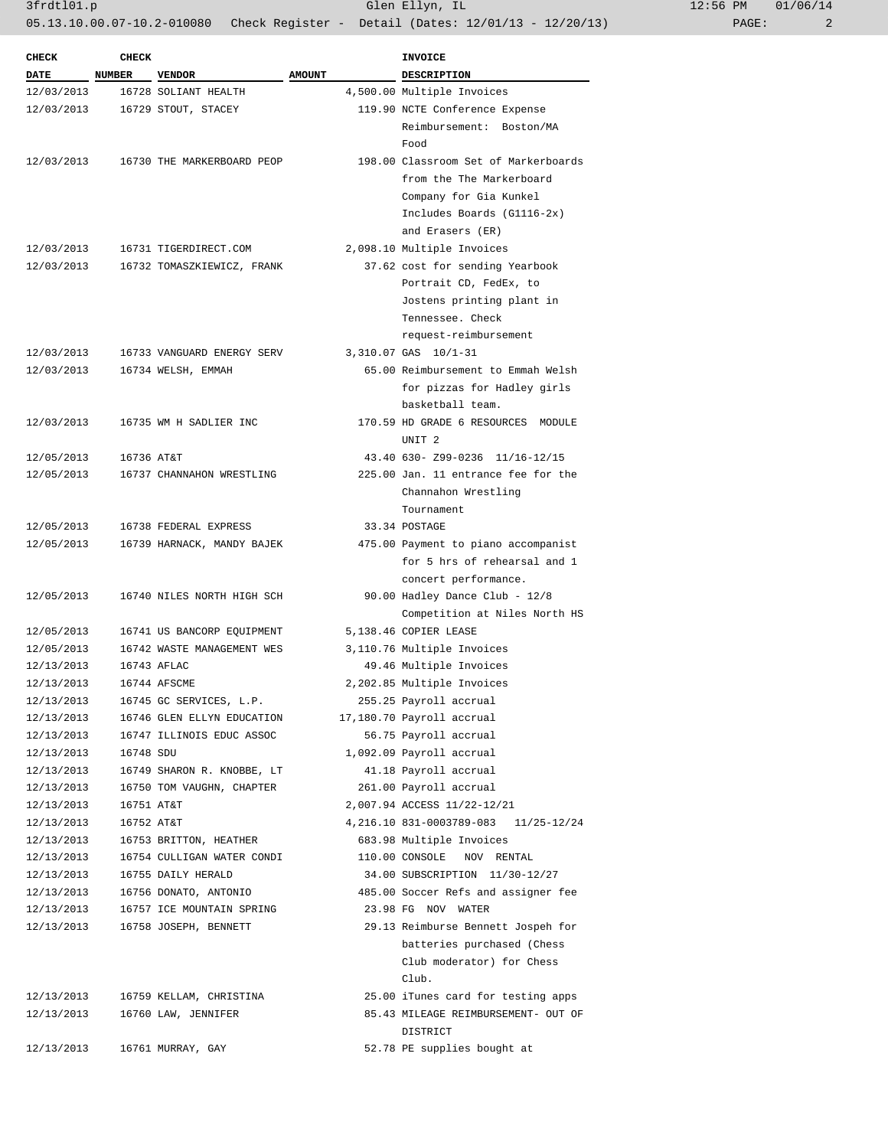3frdtl01.p Glen Ellyn, IL 12:56 PM 01/06/14

05.13.10.00.07-10.2-010080 Check Register - Detail (Dates: 12/01/13 - 12/20/13) PAGE: 2

| <b>CHECK</b>             | <b>CHECK</b>  |                            |               | <b>INVOICE</b>                                       |
|--------------------------|---------------|----------------------------|---------------|------------------------------------------------------|
| <b>DATE</b>              | <b>NUMBER</b> | <b>VENDOR</b>              | <b>AMOUNT</b> | DESCRIPTION                                          |
| 12/03/2013               |               | 16728 SOLIANT HEALTH       |               | 4,500.00 Multiple Invoices                           |
| 12/03/2013               |               | 16729 STOUT, STACEY        |               | 119.90 NCTE Conference Expense                       |
|                          |               |                            |               | Reimbursement: Boston/MA                             |
|                          |               |                            |               | Food                                                 |
| 12/03/2013               |               | 16730 THE MARKERBOARD PEOP |               | 198.00 Classroom Set of Markerboards                 |
|                          |               |                            |               | from the The Markerboard                             |
|                          |               |                            |               |                                                      |
|                          |               |                            |               | Company for Gia Kunkel<br>Includes Boards (G1116-2x) |
|                          |               |                            |               | and Erasers (ER)                                     |
| 12/03/2013               |               | 16731 TIGERDIRECT.COM      |               |                                                      |
|                          |               |                            |               | 2,098.10 Multiple Invoices                           |
| 12/03/2013               |               | 16732 TOMASZKIEWICZ, FRANK |               | 37.62 cost for sending Yearbook                      |
|                          |               |                            |               | Portrait CD, FedEx, to                               |
|                          |               |                            |               | Jostens printing plant in                            |
|                          |               |                            |               | Tennessee. Check                                     |
|                          |               |                            |               | request-reimbursement                                |
| 12/03/2013<br>12/03/2013 |               | 16733 VANGUARD ENERGY SERV |               | 3,310.07 GAS 10/1-31                                 |
|                          |               | 16734 WELSH, EMMAH         |               | 65.00 Reimbursement to Emmah Welsh                   |
|                          |               |                            |               | for pizzas for Hadley girls                          |
|                          |               |                            |               | basketball team.                                     |
| 12/03/2013               |               | 16735 WM H SADLIER INC     |               | 170.59 HD GRADE 6 RESOURCES MODULE                   |
|                          |               |                            |               | UNIT <sub>2</sub>                                    |
| 12/05/2013               | 16736 AT&T    |                            |               | 43.40 630- Z99-0236 11/16-12/15                      |
| 12/05/2013               |               | 16737 CHANNAHON WRESTLING  |               | 225.00 Jan. 11 entrance fee for the                  |
|                          |               |                            |               | Channahon Wrestling                                  |
|                          |               |                            |               | Tournament                                           |
| 12/05/2013               |               | 16738 FEDERAL EXPRESS      |               | 33.34 POSTAGE                                        |
| 12/05/2013               |               | 16739 HARNACK, MANDY BAJEK |               | 475.00 Payment to piano accompanist                  |
|                          |               |                            |               | for 5 hrs of rehearsal and 1                         |
|                          |               |                            |               | concert performance.                                 |
| 12/05/2013               |               | 16740 NILES NORTH HIGH SCH |               | 90.00 Hadley Dance Club - 12/8                       |
|                          |               |                            |               | Competition at Niles North HS                        |
| 12/05/2013               |               | 16741 US BANCORP EQUIPMENT |               | 5,138.46 COPIER LEASE                                |
| 12/05/2013               |               | 16742 WASTE MANAGEMENT WES |               | 3,110.76 Multiple Invoices                           |
| 12/13/2013               |               | 16743 AFLAC                |               | 49.46 Multiple Invoices                              |
| 12/13/2013               |               | 16744 AFSCME               |               | 2,202.85 Multiple Invoices                           |
| 12/13/2013               |               | 16745 GC SERVICES, L.P.    |               | 255.25 Payroll accrual                               |
| 12/13/2013               |               | 16746 GLEN ELLYN EDUCATION |               | 17,180.70 Payroll accrual                            |
| 12/13/2013               |               | 16747 ILLINOIS EDUC ASSOC  |               | 56.75 Payroll accrual                                |
| 12/13/2013               | 16748 SDU     |                            |               | 1,092.09 Payroll accrual                             |
| 12/13/2013               |               | 16749 SHARON R. KNOBBE, LT |               | 41.18 Payroll accrual                                |
| 12/13/2013               |               | 16750 TOM VAUGHN, CHAPTER  |               | 261.00 Payroll accrual                               |
| 12/13/2013               | 16751 AT&T    |                            |               | 2,007.94 ACCESS 11/22-12/21                          |
| 12/13/2013               | 16752 AT&T    |                            |               | 4, 216.10 831-0003789-083 11/25-12/24                |
| 12/13/2013               |               | 16753 BRITTON, HEATHER     |               | 683.98 Multiple Invoices                             |
| 12/13/2013               |               | 16754 CULLIGAN WATER CONDI |               | 110.00 CONSOLE NOV RENTAL                            |
| 12/13/2013               |               | 16755 DAILY HERALD         |               | 34.00 SUBSCRIPTION 11/30-12/27                       |
| 12/13/2013               |               | 16756 DONATO, ANTONIO      |               | 485.00 Soccer Refs and assigner fee                  |
| 12/13/2013               |               | 16757 ICE MOUNTAIN SPRING  |               | 23.98 FG NOV WATER                                   |
| 12/13/2013               |               | 16758 JOSEPH, BENNETT      |               | 29.13 Reimburse Bennett Jospeh for                   |
|                          |               |                            |               | batteries purchased (Chess                           |
|                          |               |                            |               | Club moderator) for Chess                            |
|                          |               |                            |               | Club.                                                |
| 12/13/2013               |               | 16759 KELLAM, CHRISTINA    |               | 25.00 iTunes card for testing apps                   |
| 12/13/2013               |               | 16760 LAW, JENNIFER        |               | 85.43 MILEAGE REIMBURSEMENT- OUT OF                  |
|                          |               |                            |               | DISTRICT                                             |
| 12/13/2013               |               | 16761 MURRAY, GAY          |               | 52.78 PE supplies bought at                          |
|                          |               |                            |               |                                                      |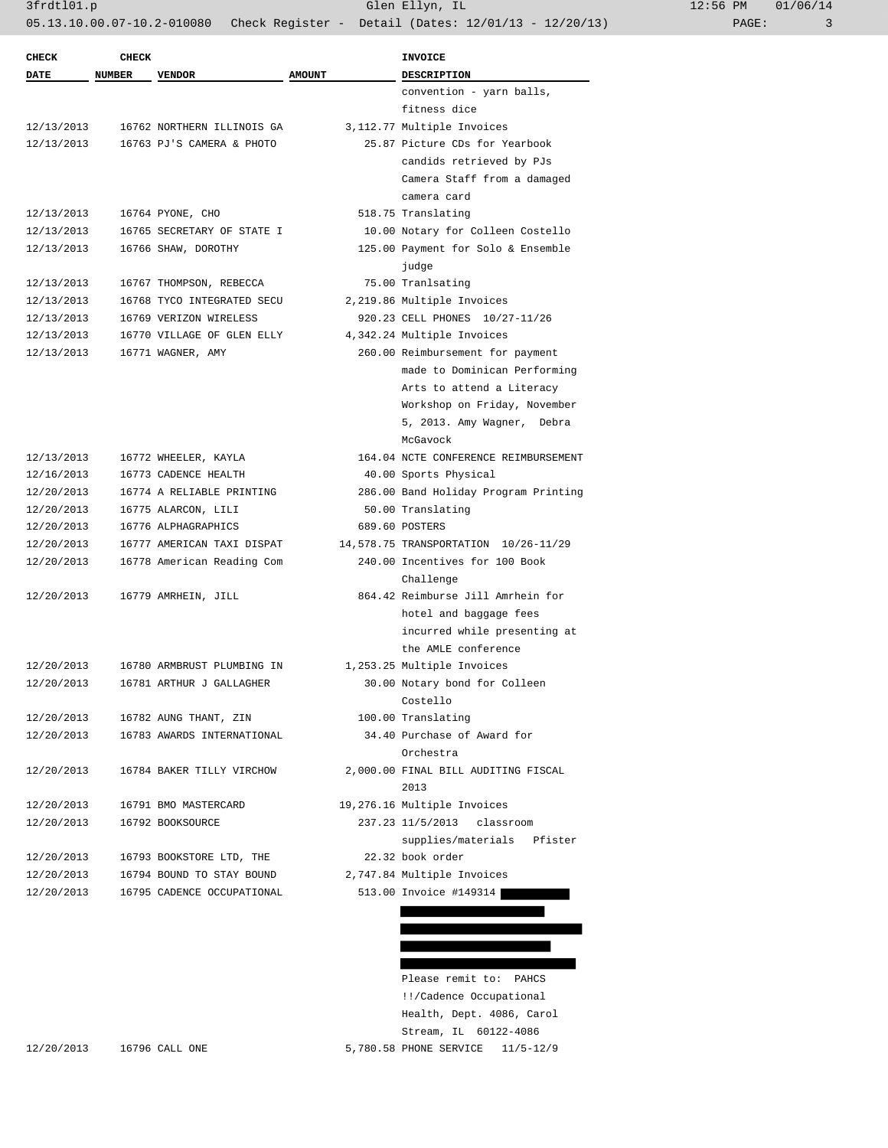| <b>CHECK</b> | <b>CHECK</b>  |                            |               | <b>INVOICE</b>                       |
|--------------|---------------|----------------------------|---------------|--------------------------------------|
| DATE         | <b>NUMBER</b> | <b>VENDOR</b>              | <b>AMOUNT</b> | <b>DESCRIPTION</b>                   |
|              |               |                            |               | convention - yarn balls,             |
|              |               |                            |               | fitness dice                         |
| 12/13/2013   |               | 16762 NORTHERN ILLINOIS GA |               | 3,112.77 Multiple Invoices           |
| 12/13/2013   |               | 16763 PJ'S CAMERA & PHOTO  |               | 25.87 Picture CDs for Yearbook       |
|              |               |                            |               | candids retrieved by PJs             |
|              |               |                            |               | Camera Staff from a damaged          |
|              |               |                            |               | camera card                          |
| 12/13/2013   |               | 16764 PYONE, CHO           |               | 518.75 Translating                   |
| 12/13/2013   |               | 16765 SECRETARY OF STATE I |               | 10.00 Notary for Colleen Costello    |
| 12/13/2013   |               | 16766 SHAW, DOROTHY        |               | 125.00 Payment for Solo & Ensemble   |
|              |               |                            |               | judge                                |
| 12/13/2013   |               | 16767 THOMPSON, REBECCA    |               | 75.00 Tranlsating                    |
| 12/13/2013   |               | 16768 TYCO INTEGRATED SECU |               | 2,219.86 Multiple Invoices           |
| 12/13/2013   |               | 16769 VERIZON WIRELESS     |               | 920.23 CELL PHONES 10/27-11/26       |
| 12/13/2013   |               | 16770 VILLAGE OF GLEN ELLY |               | 4,342.24 Multiple Invoices           |
| 12/13/2013   |               | 16771 WAGNER, AMY          |               | 260.00 Reimbursement for payment     |
|              |               |                            |               | made to Dominican Performing         |
|              |               |                            |               | Arts to attend a Literacy            |
|              |               |                            |               | Workshop on Friday, November         |
|              |               |                            |               | 5, 2013. Amy Wagner, Debra           |
|              |               |                            |               | McGavock                             |
| 12/13/2013   |               | 16772 WHEELER, KAYLA       |               | 164.04 NCTE CONFERENCE REIMBURSEMENT |
| 12/16/2013   |               | 16773 CADENCE HEALTH       |               | 40.00 Sports Physical                |
| 12/20/2013   |               | 16774 A RELIABLE PRINTING  |               | 286.00 Band Holiday Program Printing |
| 12/20/2013   |               | 16775 ALARCON, LILI        |               | 50.00 Translating                    |
| 12/20/2013   |               | 16776 ALPHAGRAPHICS        |               | 689.60 POSTERS                       |
| 12/20/2013   |               | 16777 AMERICAN TAXI DISPAT |               | 14,578.75 TRANSPORTATION 10/26-11/29 |
| 12/20/2013   |               | 16778 American Reading Com |               | 240.00 Incentives for 100 Book       |
|              |               |                            |               | Challenge                            |
| 12/20/2013   |               | 16779 AMRHEIN, JILL        |               | 864.42 Reimburse Jill Amrhein for    |
|              |               |                            |               | hotel and baggage fees               |
|              |               |                            |               | incurred while presenting at         |
|              |               |                            |               | the AMLE conference                  |
| 12/20/2013   |               | 16780 ARMBRUST PLUMBING IN |               | 1,253.25 Multiple Invoices           |
| 12/20/2013   |               | 16781 ARTHUR J GALLAGHER   |               | 30.00 Notary bond for Colleen        |
|              |               |                            |               | Costello                             |
| 12/20/2013   |               | 16782 AUNG THANT, ZIN      |               | 100.00 Translating                   |
| 12/20/2013   |               | 16783 AWARDS INTERNATIONAL |               | 34.40 Purchase of Award for          |
|              |               |                            |               | Orchestra                            |
| 12/20/2013   |               | 16784 BAKER TILLY VIRCHOW  |               | 2,000.00 FINAL BILL AUDITING FISCAL  |
|              |               |                            |               | 2013                                 |
| 12/20/2013   |               | 16791 BMO MASTERCARD       |               | 19,276.16 Multiple Invoices          |
| 12/20/2013   |               | 16792 BOOKSOURCE           |               | 237.23 11/5/2013<br>classroom        |
|              |               |                            |               | supplies/materials Pfister           |
| 12/20/2013   |               | 16793 BOOKSTORE LTD, THE   |               | 22.32 book order                     |
| 12/20/2013   |               | 16794 BOUND TO STAY BOUND  |               | 2,747.84 Multiple Invoices           |
| 12/20/2013   |               | 16795 CADENCE OCCUPATIONAL |               | 513.00 Invoice #149314               |
|              |               |                            |               |                                      |

 Please remit to: PAHCS !!/Cadence Occupational Health, Dept. 4086, Carol Stream, IL 60122-4086 12/20/2013 16796 CALL ONE 5,780.58 PHONE SERVICE 11/5-12/9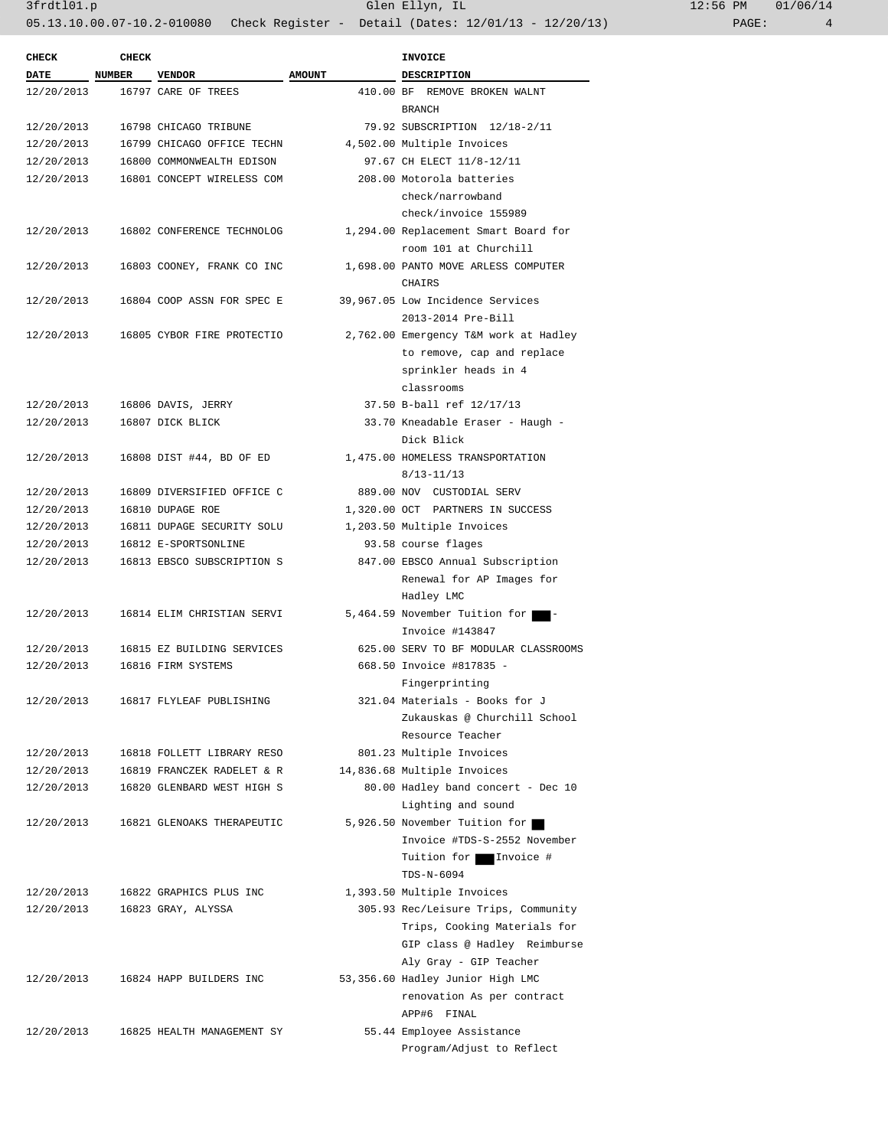| <b>CHECK</b> | <b>CHECK</b>  |                            |               | <b>INVOICE</b>                        |
|--------------|---------------|----------------------------|---------------|---------------------------------------|
| <b>DATE</b>  | <b>NUMBER</b> | <b>VENDOR</b>              | <b>AMOUNT</b> | <b>DESCRIPTION</b>                    |
| 12/20/2013   |               | 16797 CARE OF TREES        |               | 410.00 BF REMOVE BROKEN WALNT         |
|              |               |                            |               | <b>BRANCH</b>                         |
| 12/20/2013   |               | 16798 CHICAGO TRIBUNE      |               | 79.92 SUBSCRIPTION 12/18-2/11         |
| 12/20/2013   |               | 16799 CHICAGO OFFICE TECHN |               | 4,502.00 Multiple Invoices            |
| 12/20/2013   |               | 16800 COMMONWEALTH EDISON  |               | 97.67 CH ELECT 11/8-12/11             |
| 12/20/2013   |               | 16801 CONCEPT WIRELESS COM |               | 208.00 Motorola batteries             |
|              |               |                            |               | check/narrowband                      |
|              |               |                            |               | check/invoice 155989                  |
| 12/20/2013   |               | 16802 CONFERENCE TECHNOLOG |               | 1,294.00 Replacement Smart Board for  |
|              |               |                            |               | room 101 at Churchill                 |
| 12/20/2013   |               | 16803 COONEY, FRANK CO INC |               | 1,698.00 PANTO MOVE ARLESS COMPUTER   |
|              |               |                            |               | CHAIRS                                |
| 12/20/2013   |               | 16804 COOP ASSN FOR SPEC E |               | 39,967.05 Low Incidence Services      |
|              |               |                            |               | 2013-2014 Pre-Bill                    |
| 12/20/2013   |               | 16805 CYBOR FIRE PROTECTIO |               | 2,762.00 Emergency T&M work at Hadley |
|              |               |                            |               | to remove, cap and replace            |
|              |               |                            |               | sprinkler heads in 4                  |
|              |               |                            |               | classrooms                            |
| 12/20/2013   |               | 16806 DAVIS, JERRY         |               | 37.50 B-ball ref 12/17/13             |
|              |               | 16807 DICK BLICK           |               |                                       |
| 12/20/2013   |               |                            |               | 33.70 Kneadable Eraser - Haugh -      |
|              |               |                            |               | Dick Blick                            |
| 12/20/2013   |               | 16808 DIST #44, BD OF ED   |               | 1,475.00 HOMELESS TRANSPORTATION      |
|              |               |                            |               | $8/13 - 11/13$                        |
| 12/20/2013   |               | 16809 DIVERSIFIED OFFICE C |               | 889.00 NOV CUSTODIAL SERV             |
| 12/20/2013   |               | 16810 DUPAGE ROE           |               | 1,320.00 OCT PARTNERS IN SUCCESS      |
| 12/20/2013   |               | 16811 DUPAGE SECURITY SOLU |               | 1,203.50 Multiple Invoices            |
| 12/20/2013   |               | 16812 E-SPORTSONLINE       |               | 93.58 course flages                   |
| 12/20/2013   |               | 16813 EBSCO SUBSCRIPTION S |               | 847.00 EBSCO Annual Subscription      |
|              |               |                            |               | Renewal for AP Images for             |
|              |               |                            |               | Hadley LMC                            |
| 12/20/2013   |               | 16814 ELIM CHRISTIAN SERVI |               | 5,464.59 November Tuition for         |
|              |               |                            |               | Invoice #143847                       |
| 12/20/2013   |               | 16815 EZ BUILDING SERVICES |               | 625.00 SERV TO BF MODULAR CLASSROOMS  |
| 12/20/2013   |               | 16816 FIRM SYSTEMS         |               | 668.50 Invoice #817835 -              |
|              |               |                            |               | Fingerprinting                        |
| 12/20/2013   |               | 16817 FLYLEAF PUBLISHING   |               | 321.04 Materials - Books for J        |
|              |               |                            |               | Zukauskas @ Churchill School          |
|              |               |                            |               | Resource Teacher                      |
| 12/20/2013   |               | 16818 FOLLETT LIBRARY RESO |               | 801.23 Multiple Invoices              |
| 12/20/2013   |               | 16819 FRANCZEK RADELET & R |               | 14,836.68 Multiple Invoices           |
| 12/20/2013   |               | 16820 GLENBARD WEST HIGH S |               | 80.00 Hadley band concert - Dec 10    |
|              |               |                            |               | Lighting and sound                    |
| 12/20/2013   |               | 16821 GLENOAKS THERAPEUTIC |               | 5,926.50 November Tuition for         |
|              |               |                            |               | Invoice #TDS-S-2552 November          |
|              |               |                            |               | Tuition for Invoice #                 |
|              |               |                            |               | TDS-N-6094                            |
| 12/20/2013   |               | 16822 GRAPHICS PLUS INC    |               | 1,393.50 Multiple Invoices            |
| 12/20/2013   |               | 16823 GRAY, ALYSSA         |               | 305.93 Rec/Leisure Trips, Community   |
|              |               |                            |               | Trips, Cooking Materials for          |
|              |               |                            |               | GIP class @ Hadley Reimburse          |
|              |               |                            |               | Aly Gray - GIP Teacher                |
| 12/20/2013   |               | 16824 HAPP BUILDERS INC    |               | 53,356.60 Hadley Junior High LMC      |
|              |               |                            |               | renovation As per contract            |
|              |               |                            |               | APP#6 FINAL                           |
| 12/20/2013   |               | 16825 HEALTH MANAGEMENT SY |               | 55.44 Employee Assistance             |
|              |               |                            |               | Program/Adjust to Reflect             |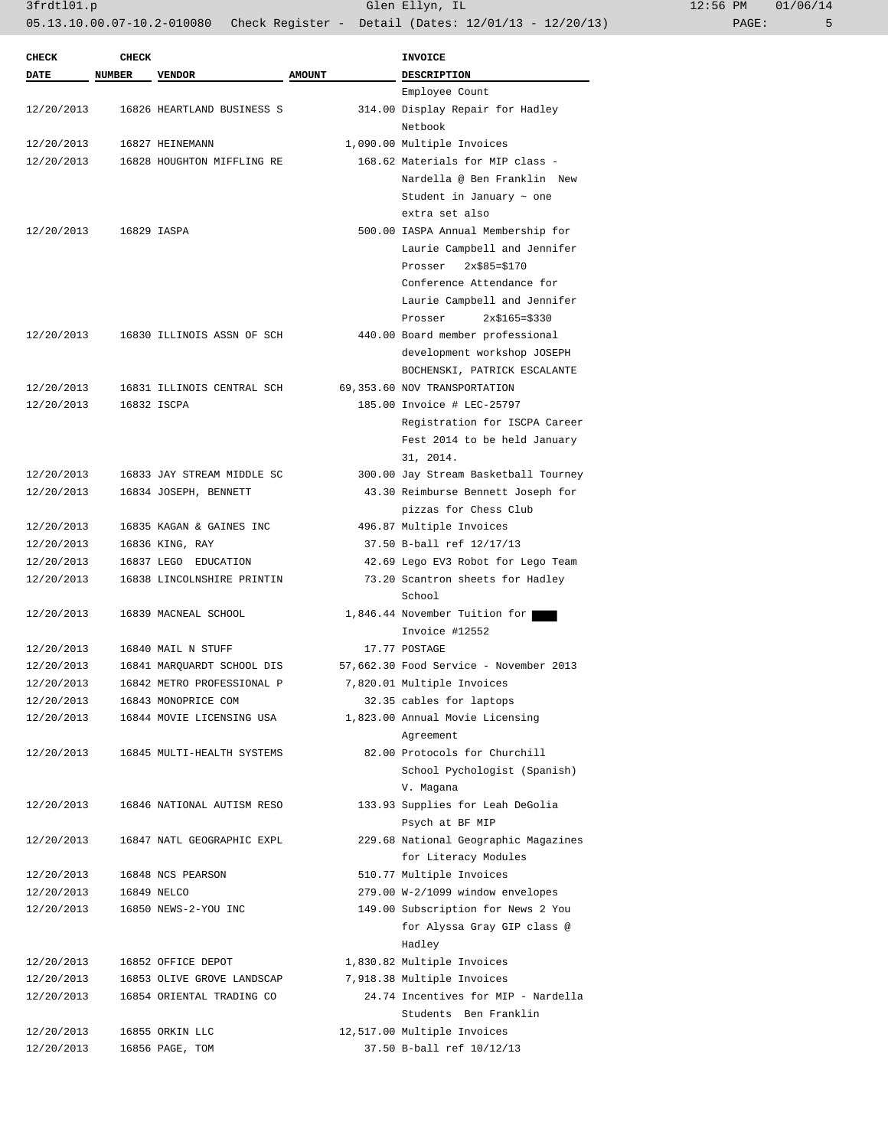3frdtl01.p Glen Ellyn, IL 12:56 PM 01/06/14

05.13.10.00.07-10.2-010080 Check Register - Detail (Dates: 12/01/13 - 12/20/13) PAGE: 5

| <b>CHECK</b> | <b>CHECK</b> |                            |               | <b>INVOICE</b>                             |
|--------------|--------------|----------------------------|---------------|--------------------------------------------|
| DATE         | NUMBER       | <b>VENDOR</b>              | <b>AMOUNT</b> | <b>DESCRIPTION</b>                         |
|              |              |                            |               | Employee Count                             |
| 12/20/2013   |              | 16826 HEARTLAND BUSINESS S |               | 314.00 Display Repair for Hadley           |
|              |              |                            |               | Netbook                                    |
| 12/20/2013   |              | 16827 HEINEMANN            |               | 1,090.00 Multiple Invoices                 |
| 12/20/2013   |              | 16828 HOUGHTON MIFFLING RE |               | 168.62 Materials for MIP class -           |
|              |              |                            |               | Nardella @ Ben Franklin New                |
|              |              |                            |               | Student in January $\sim$ one              |
|              |              |                            |               | extra set also                             |
| 12/20/2013   |              | 16829 IASPA                |               | 500.00 IASPA Annual Membership for         |
|              |              |                            |               | Laurie Campbell and Jennifer               |
|              |              |                            |               | $2x$85=$170$<br>Prosser                    |
|              |              |                            |               | Conference Attendance for                  |
|              |              |                            |               | Laurie Campbell and Jennifer               |
|              |              |                            |               | Prosser<br>$2x$165 = $330$                 |
| 12/20/2013   |              | 16830 ILLINOIS ASSN OF SCH |               | 440.00 Board member professional           |
|              |              |                            |               | development workshop JOSEPH                |
|              |              |                            |               | BOCHENSKI, PATRICK ESCALANTE               |
| 12/20/2013   |              | 16831 ILLINOIS CENTRAL SCH |               | 69,353.60 NOV TRANSPORTATION               |
| 12/20/2013   |              | 16832 ISCPA                |               | 185.00 Invoice # LEC-25797                 |
|              |              |                            |               | Registration for ISCPA Career              |
|              |              |                            |               | Fest 2014 to be held January               |
|              |              |                            |               | 31, 2014.                                  |
| 12/20/2013   |              | 16833 JAY STREAM MIDDLE SC |               | 300.00 Jay Stream Basketball Tourney       |
| 12/20/2013   |              | 16834 JOSEPH, BENNETT      |               | 43.30 Reimburse Bennett Joseph for         |
|              |              |                            |               | pizzas for Chess Club                      |
| 12/20/2013   |              | 16835 KAGAN & GAINES INC   |               | 496.87 Multiple Invoices                   |
| 12/20/2013   |              | 16836 KING, RAY            |               | 37.50 B-ball ref 12/17/13                  |
| 12/20/2013   |              | 16837 LEGO EDUCATION       |               | 42.69 Lego EV3 Robot for Lego Team         |
| 12/20/2013   |              | 16838 LINCOLNSHIRE PRINTIN |               | 73.20 Scantron sheets for Hadley           |
|              |              |                            |               | School                                     |
| 12/20/2013   |              | 16839 MACNEAL SCHOOL       |               | 1,846.44 November Tuition for              |
|              |              |                            |               | Invoice #12552                             |
| 12/20/2013   |              | 16840 MAIL N STUFF         |               | 17.77 POSTAGE                              |
| 12/20/2013   |              | 16841 MARQUARDT SCHOOL DIS |               | 57,662.30 Food Service - November 2013     |
| 12/20/2013   |              | 16842 METRO PROFESSIONAL P |               | 7,820.01 Multiple Invoices                 |
| 12/20/2013   |              | 16843 MONOPRICE COM        |               | 32.35 cables for laptops                   |
| 12/20/2013   |              | 16844 MOVIE LICENSING USA  |               | 1,823.00 Annual Movie Licensing            |
|              |              | 16845 MULTI-HEALTH SYSTEMS |               | Agreement<br>82.00 Protocols for Churchill |
| 12/20/2013   |              |                            |               |                                            |
|              |              |                            |               | School Pychologist (Spanish)<br>V. Magana  |
| 12/20/2013   |              | 16846 NATIONAL AUTISM RESO |               | 133.93 Supplies for Leah DeGolia           |
|              |              |                            |               | Psych at BF MIP                            |
| 12/20/2013   |              | 16847 NATL GEOGRAPHIC EXPL |               | 229.68 National Geographic Magazines       |
|              |              |                            |               | for Literacy Modules                       |
| 12/20/2013   |              | 16848 NCS PEARSON          |               | 510.77 Multiple Invoices                   |
| 12/20/2013   |              | 16849 NELCO                |               | 279.00 W-2/1099 window envelopes           |
| 12/20/2013   |              | 16850 NEWS-2-YOU INC       |               | 149.00 Subscription for News 2 You         |
|              |              |                            |               | for Alyssa Gray GIP class @                |
|              |              |                            |               | Hadley                                     |
| 12/20/2013   |              | 16852 OFFICE DEPOT         |               | 1,830.82 Multiple Invoices                 |
| 12/20/2013   |              | 16853 OLIVE GROVE LANDSCAP |               | 7,918.38 Multiple Invoices                 |
| 12/20/2013   |              | 16854 ORIENTAL TRADING CO  |               | 24.74 Incentives for MIP - Nardella        |
|              |              |                            |               | Students Ben Franklin                      |
| 12/20/2013   |              | 16855 ORKIN LLC            |               | 12,517.00 Multiple Invoices                |
| 12/20/2013   |              | 16856 PAGE, TOM            |               | 37.50 B-ball ref 10/12/13                  |
|              |              |                            |               |                                            |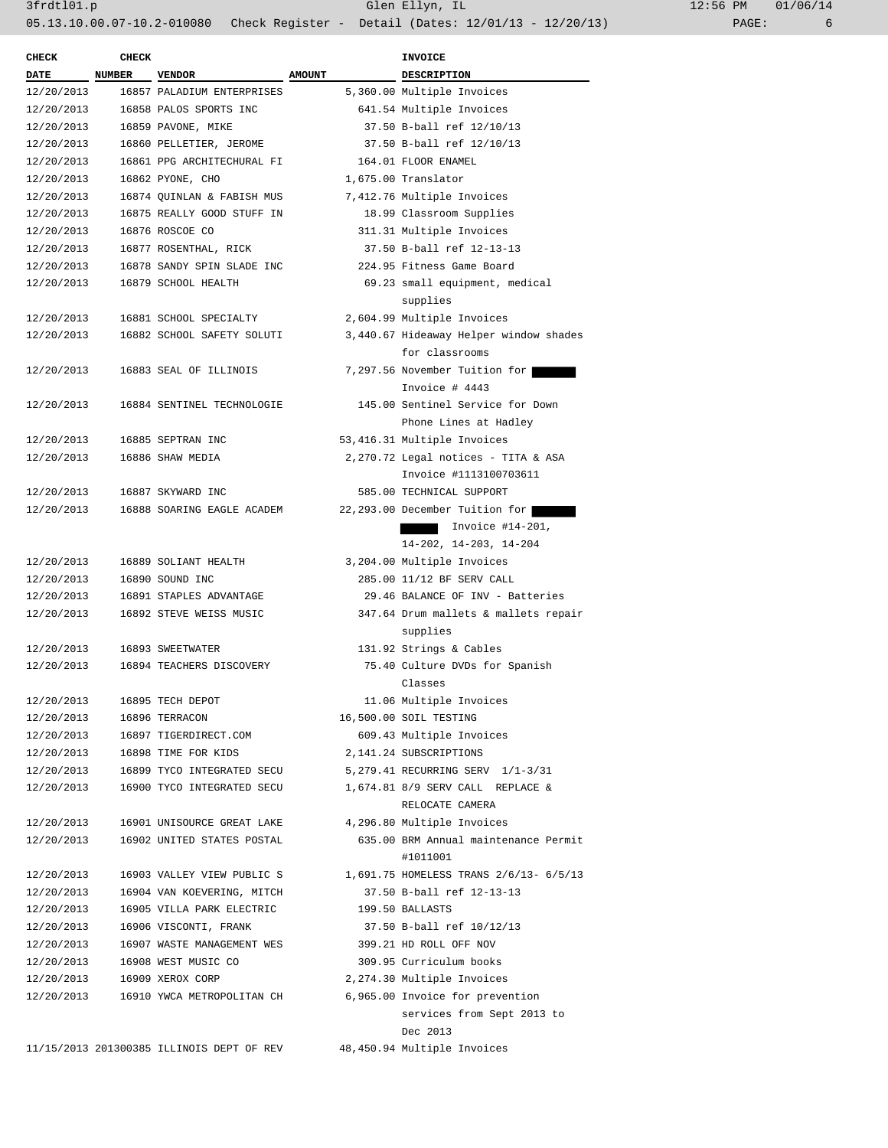| <b>CHECK</b> | <b>CHECK</b>  |                                           |               | <b>INVOICE</b>                         |
|--------------|---------------|-------------------------------------------|---------------|----------------------------------------|
| <b>DATE</b>  | <b>NUMBER</b> | <b>VENDOR</b>                             | <b>AMOUNT</b> | DESCRIPTION                            |
| 12/20/2013   |               | 16857 PALADIUM ENTERPRISES                |               | 5,360.00 Multiple Invoices             |
| 12/20/2013   |               | 16858 PALOS SPORTS INC                    |               | 641.54 Multiple Invoices               |
| 12/20/2013   |               | 16859 PAVONE, MIKE                        |               | 37.50 B-ball ref 12/10/13              |
| 12/20/2013   |               | 16860 PELLETIER, JEROME                   |               | 37.50 B-ball ref 12/10/13              |
| 12/20/2013   |               | 16861 PPG ARCHITECHURAL FI                |               | 164.01 FLOOR ENAMEL                    |
| 12/20/2013   |               | 16862 PYONE, CHO                          |               | 1,675.00 Translator                    |
| 12/20/2013   |               | 16874 QUINLAN & FABISH MUS                |               | 7,412.76 Multiple Invoices             |
| 12/20/2013   |               | 16875 REALLY GOOD STUFF IN                |               | 18.99 Classroom Supplies               |
| 12/20/2013   |               | 16876 ROSCOE CO                           |               | 311.31 Multiple Invoices               |
| 12/20/2013   |               | 16877 ROSENTHAL, RICK                     |               | 37.50 B-ball ref 12-13-13              |
| 12/20/2013   |               | 16878 SANDY SPIN SLADE INC                |               | 224.95 Fitness Game Board              |
| 12/20/2013   |               | 16879 SCHOOL HEALTH                       |               | 69.23 small equipment, medical         |
|              |               |                                           |               | supplies                               |
| 12/20/2013   |               | 16881 SCHOOL SPECIALTY                    |               | 2,604.99 Multiple Invoices             |
| 12/20/2013   |               | 16882 SCHOOL SAFETY SOLUTI                |               | 3,440.67 Hideaway Helper window shades |
|              |               |                                           |               | for classrooms                         |
| 12/20/2013   |               | 16883 SEAL OF ILLINOIS                    |               | 7,297.56 November Tuition for          |
|              |               |                                           |               | Invoice # 4443                         |
| 12/20/2013   |               | 16884 SENTINEL TECHNOLOGIE                |               | 145.00 Sentinel Service for Down       |
|              |               |                                           |               | Phone Lines at Hadley                  |
| 12/20/2013   |               | 16885 SEPTRAN INC                         |               | 53,416.31 Multiple Invoices            |
| 12/20/2013   |               | 16886 SHAW MEDIA                          |               | 2,270.72 Legal notices - TITA & ASA    |
|              |               |                                           |               | Invoice #1113100703611                 |
| 12/20/2013   |               | 16887 SKYWARD INC                         |               | 585.00 TECHNICAL SUPPORT               |
| 12/20/2013   |               | 16888 SOARING EAGLE ACADEM                |               | 22, 293.00 December Tuition for        |
|              |               |                                           |               | Invoice #14-201,                       |
|              |               |                                           |               | $14-202$ , $14-203$ , $14-204$         |
| 12/20/2013   |               | 16889 SOLIANT HEALTH                      |               | 3,204.00 Multiple Invoices             |
| 12/20/2013   |               | 16890 SOUND INC                           |               | 285.00 11/12 BF SERV CALL              |
| 12/20/2013   |               | 16891 STAPLES ADVANTAGE                   |               | 29.46 BALANCE OF INV - Batteries       |
| 12/20/2013   |               | 16892 STEVE WEISS MUSIC                   |               | 347.64 Drum mallets & mallets repair   |
|              |               |                                           |               | supplies                               |
| 12/20/2013   |               | 16893 SWEETWATER                          |               | 131.92 Strings & Cables                |
| 12/20/2013   |               | 16894 TEACHERS DISCOVERY                  |               | 75.40 Culture DVDs for Spanish         |
|              |               |                                           |               | Classes                                |
| 12/20/2013   |               | 16895 TECH DEPOT                          |               | 11.06 Multiple Invoices                |
| 12/20/2013   |               | 16896 TERRACON                            |               | 16,500.00 SOIL TESTING                 |
| 12/20/2013   |               | 16897 TIGERDIRECT.COM                     |               | 609.43 Multiple Invoices               |
| 12/20/2013   |               | 16898 TIME FOR KIDS                       |               | 2,141.24 SUBSCRIPTIONS                 |
| 12/20/2013   |               | 16899 TYCO INTEGRATED SECU                |               | 5, 279.41 RECURRING SERV 1/1-3/31      |
| 12/20/2013   |               | 16900 TYCO INTEGRATED SECU                |               | 1,674.81 8/9 SERV CALL REPLACE &       |
|              |               |                                           |               | RELOCATE CAMERA                        |
| 12/20/2013   |               | 16901 UNISOURCE GREAT LAKE                |               | 4,296.80 Multiple Invoices             |
| 12/20/2013   |               | 16902 UNITED STATES POSTAL                |               | 635.00 BRM Annual maintenance Permit   |
|              |               |                                           |               | #1011001                               |
| 12/20/2013   |               | 16903 VALLEY VIEW PUBLIC S                |               | 1,691.75 HOMELESS TRANS 2/6/13- 6/5/13 |
| 12/20/2013   |               | 16904 VAN KOEVERING, MITCH                |               | 37.50 B-ball ref 12-13-13              |
| 12/20/2013   |               | 16905 VILLA PARK ELECTRIC                 |               | 199.50 BALLASTS                        |
| 12/20/2013   |               | 16906 VISCONTI, FRANK                     |               | 37.50 B-ball ref 10/12/13              |
| 12/20/2013   |               | 16907 WASTE MANAGEMENT WES                |               | 399.21 HD ROLL OFF NOV                 |
| 12/20/2013   |               | 16908 WEST MUSIC CO                       |               | 309.95 Curriculum books                |
| 12/20/2013   |               | 16909 XEROX CORP                          |               | 2,274.30 Multiple Invoices             |
| 12/20/2013   |               | 16910 YWCA METROPOLITAN CH                |               | 6,965.00 Invoice for prevention        |
|              |               |                                           |               | services from Sept 2013 to             |
|              |               |                                           |               | Dec 2013                               |
|              |               |                                           |               |                                        |
|              |               | 11/15/2013 201300385 ILLINOIS DEPT OF REV |               | 48,450.94 Multiple Invoices            |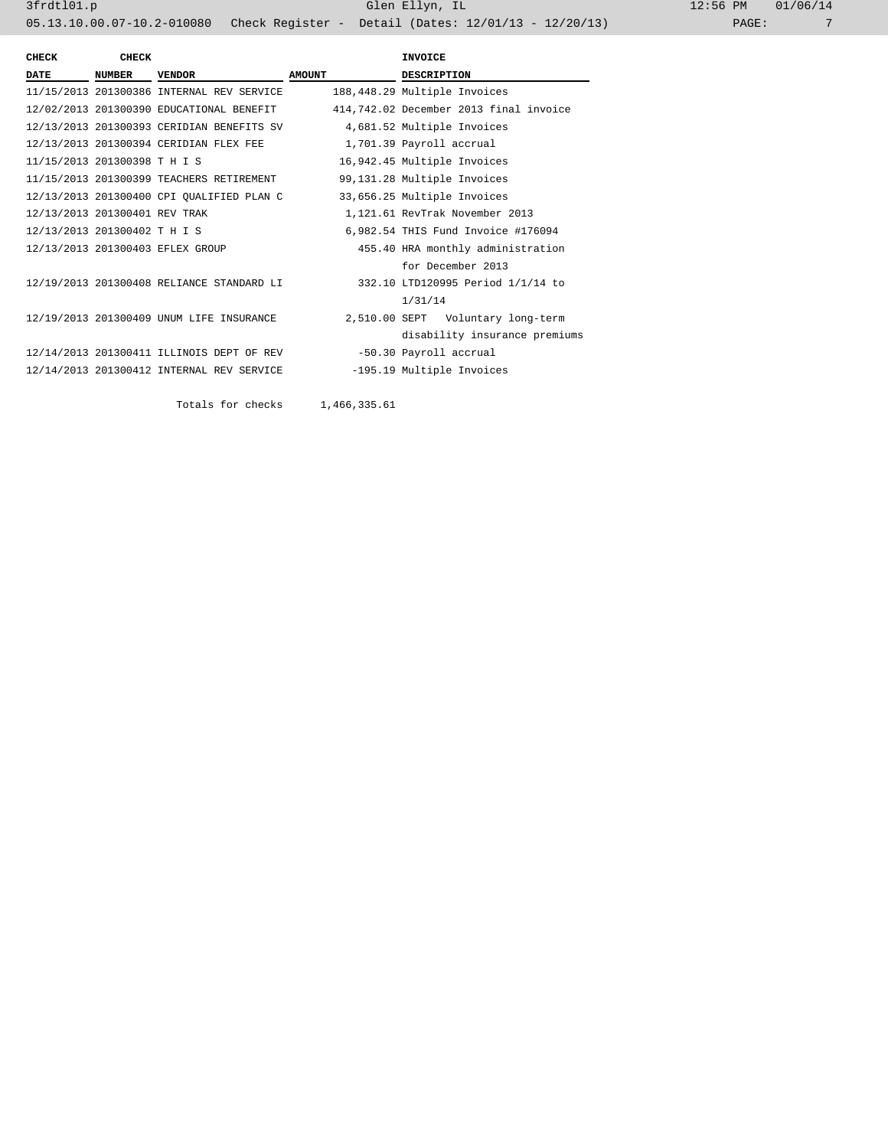| CHECK                         | <b>CHECK</b>  |                                           |               | <b>INVOICE</b>                         |  |
|-------------------------------|---------------|-------------------------------------------|---------------|----------------------------------------|--|
| <b>DATE</b>                   | <b>NUMBER</b> | <b>VENDOR</b>                             | <b>AMOUNT</b> | <b>DESCRIPTION</b>                     |  |
|                               |               | 11/15/2013 201300386 INTERNAL REV SERVICE |               | 188,448.29 Multiple Invoices           |  |
|                               |               | 12/02/2013 201300390 EDUCATIONAL BENEFIT  |               | 414,742.02 December 2013 final invoice |  |
|                               |               | 12/13/2013 201300393 CERIDIAN BENEFITS SV |               | 4,681.52 Multiple Invoices             |  |
|                               |               | 12/13/2013 201300394 CERIDIAN FLEX FEE    |               | 1,701.39 Payroll accrual               |  |
| 11/15/2013 201300398 T H I S  |               |                                           |               | 16,942.45 Multiple Invoices            |  |
|                               |               | 11/15/2013 201300399 TEACHERS RETIREMENT  |               | 99,131.28 Multiple Invoices            |  |
|                               |               | 12/13/2013 201300400 CPI OUALIFIED PLAN C |               | 33,656.25 Multiple Invoices            |  |
| 12/13/2013 201300401 REV TRAK |               |                                           |               | 1,121.61 RevTrak November 2013         |  |
| 12/13/2013 201300402 T H I S  |               |                                           |               | 6,982.54 THIS Fund Invoice #176094     |  |
|                               |               | 12/13/2013 201300403 EFLEX GROUP          |               | 455.40 HRA monthly administration      |  |
|                               |               |                                           |               | for December 2013                      |  |
|                               |               | 12/19/2013 201300408 RELIANCE STANDARD LI |               | 332.10 LTD120995 Period 1/1/14 to      |  |
|                               |               |                                           |               | 1/31/14                                |  |
|                               |               | 12/19/2013 201300409 UNUM LIFE INSURANCE  |               | 2,510.00 SEPT Voluntary long-term      |  |
|                               |               |                                           |               | disability insurance premiums          |  |
|                               |               | 12/14/2013 201300411 ILLINOIS DEPT OF REV |               | -50.30 Payroll accrual                 |  |
|                               |               | 12/14/2013 201300412 INTERNAL REV SERVICE |               | -195.19 Multiple Invoices              |  |
|                               |               |                                           |               |                                        |  |
|                               |               | Totals for checks                         | 1,466,335.61  |                                        |  |